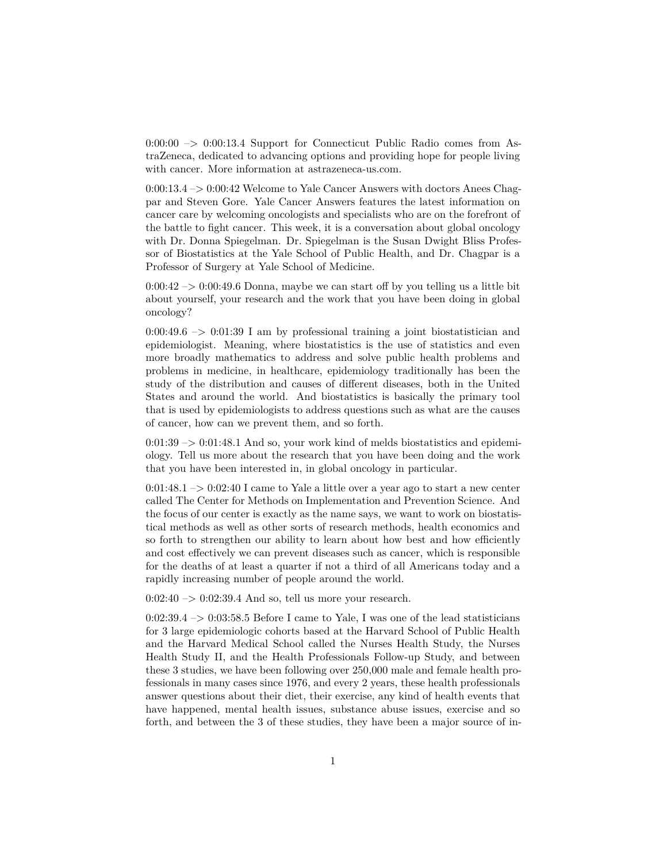$0:00:00 \rightarrow 0:00:13.4$  Support for Connecticut Public Radio comes from AstraZeneca, dedicated to advancing options and providing hope for people living with cancer. More information at astrazeneca-us.com.

0:00:13.4 –> 0:00:42 Welcome to Yale Cancer Answers with doctors Anees Chagpar and Steven Gore. Yale Cancer Answers features the latest information on cancer care by welcoming oncologists and specialists who are on the forefront of the battle to fight cancer. This week, it is a conversation about global oncology with Dr. Donna Spiegelman. Dr. Spiegelman is the Susan Dwight Bliss Professor of Biostatistics at the Yale School of Public Health, and Dr. Chagpar is a Professor of Surgery at Yale School of Medicine.

 $0:00:42 \rightarrow 0:00:49.6$  Donna, maybe we can start off by you telling us a little bit about yourself, your research and the work that you have been doing in global oncology?

 $0:00:49.6$  –>  $0:01:39$  I am by professional training a joint biostatistician and epidemiologist. Meaning, where biostatistics is the use of statistics and even more broadly mathematics to address and solve public health problems and problems in medicine, in healthcare, epidemiology traditionally has been the study of the distribution and causes of different diseases, both in the United States and around the world. And biostatistics is basically the primary tool that is used by epidemiologists to address questions such as what are the causes of cancer, how can we prevent them, and so forth.

 $0:01:39 \rightarrow 0:01:48.1$  And so, your work kind of melds biostatistics and epidemiology. Tell us more about the research that you have been doing and the work that you have been interested in, in global oncology in particular.

 $0:01:48.1 \rightarrow 0:02:40$  I came to Yale a little over a year ago to start a new center called The Center for Methods on Implementation and Prevention Science. And the focus of our center is exactly as the name says, we want to work on biostatistical methods as well as other sorts of research methods, health economics and so forth to strengthen our ability to learn about how best and how efficiently and cost effectively we can prevent diseases such as cancer, which is responsible for the deaths of at least a quarter if not a third of all Americans today and a rapidly increasing number of people around the world.

 $0:02:40 \rightarrow 0:02:39.4$  And so, tell us more your research.

 $0:02:39.4 \rightarrow 0:03:58.5$  Before I came to Yale, I was one of the lead statisticians for 3 large epidemiologic cohorts based at the Harvard School of Public Health and the Harvard Medical School called the Nurses Health Study, the Nurses Health Study II, and the Health Professionals Follow-up Study, and between these 3 studies, we have been following over 250,000 male and female health professionals in many cases since 1976, and every 2 years, these health professionals answer questions about their diet, their exercise, any kind of health events that have happened, mental health issues, substance abuse issues, exercise and so forth, and between the 3 of these studies, they have been a major source of in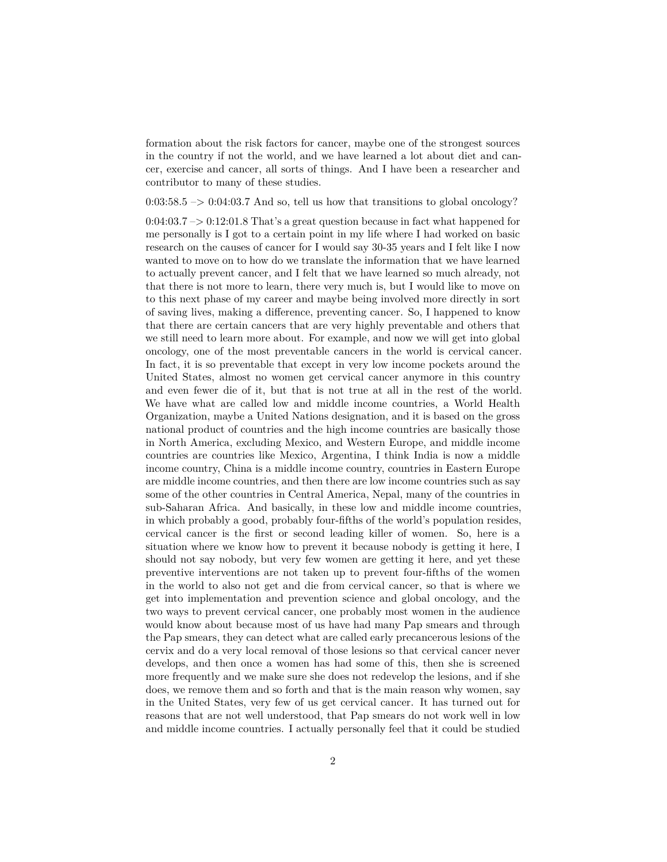formation about the risk factors for cancer, maybe one of the strongest sources in the country if not the world, and we have learned a lot about diet and cancer, exercise and cancer, all sorts of things. And I have been a researcher and contributor to many of these studies.

## $0:03:58.5 \rightarrow 0:04:03.7$  And so, tell us how that transitions to global oncology?

 $0:04:03.7 \rightarrow 0.12:01.8$  That's a great question because in fact what happened for me personally is I got to a certain point in my life where I had worked on basic research on the causes of cancer for I would say 30-35 years and I felt like I now wanted to move on to how do we translate the information that we have learned to actually prevent cancer, and I felt that we have learned so much already, not that there is not more to learn, there very much is, but I would like to move on to this next phase of my career and maybe being involved more directly in sort of saving lives, making a difference, preventing cancer. So, I happened to know that there are certain cancers that are very highly preventable and others that we still need to learn more about. For example, and now we will get into global oncology, one of the most preventable cancers in the world is cervical cancer. In fact, it is so preventable that except in very low income pockets around the United States, almost no women get cervical cancer anymore in this country and even fewer die of it, but that is not true at all in the rest of the world. We have what are called low and middle income countries, a World Health Organization, maybe a United Nations designation, and it is based on the gross national product of countries and the high income countries are basically those in North America, excluding Mexico, and Western Europe, and middle income countries are countries like Mexico, Argentina, I think India is now a middle income country, China is a middle income country, countries in Eastern Europe are middle income countries, and then there are low income countries such as say some of the other countries in Central America, Nepal, many of the countries in sub-Saharan Africa. And basically, in these low and middle income countries, in which probably a good, probably four-fifths of the world's population resides, cervical cancer is the first or second leading killer of women. So, here is a situation where we know how to prevent it because nobody is getting it here, I should not say nobody, but very few women are getting it here, and yet these preventive interventions are not taken up to prevent four-fifths of the women in the world to also not get and die from cervical cancer, so that is where we get into implementation and prevention science and global oncology, and the two ways to prevent cervical cancer, one probably most women in the audience would know about because most of us have had many Pap smears and through the Pap smears, they can detect what are called early precancerous lesions of the cervix and do a very local removal of those lesions so that cervical cancer never develops, and then once a women has had some of this, then she is screened more frequently and we make sure she does not redevelop the lesions, and if she does, we remove them and so forth and that is the main reason why women, say in the United States, very few of us get cervical cancer. It has turned out for reasons that are not well understood, that Pap smears do not work well in low and middle income countries. I actually personally feel that it could be studied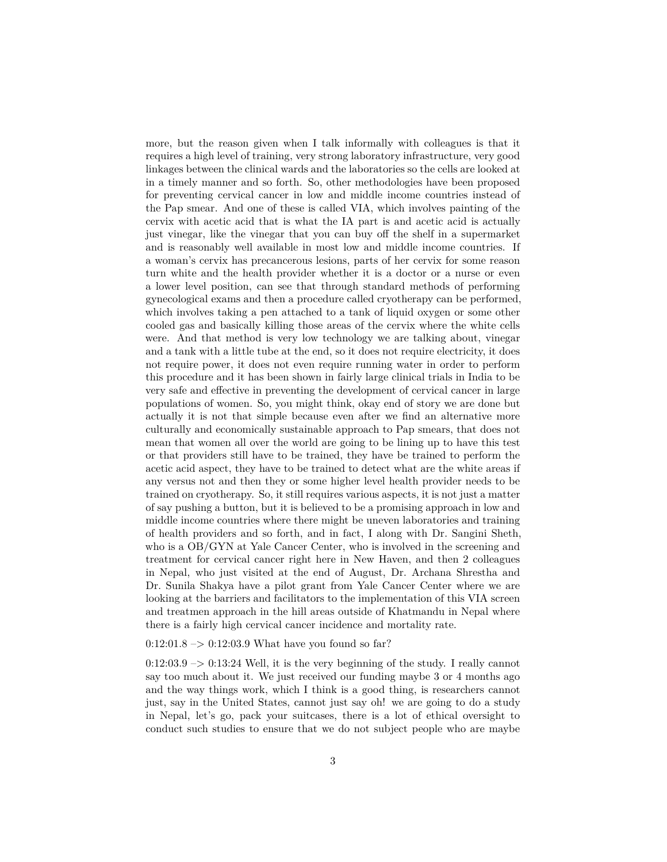more, but the reason given when I talk informally with colleagues is that it requires a high level of training, very strong laboratory infrastructure, very good linkages between the clinical wards and the laboratories so the cells are looked at in a timely manner and so forth. So, other methodologies have been proposed for preventing cervical cancer in low and middle income countries instead of the Pap smear. And one of these is called VIA, which involves painting of the cervix with acetic acid that is what the IA part is and acetic acid is actually just vinegar, like the vinegar that you can buy off the shelf in a supermarket and is reasonably well available in most low and middle income countries. If a woman's cervix has precancerous lesions, parts of her cervix for some reason turn white and the health provider whether it is a doctor or a nurse or even a lower level position, can see that through standard methods of performing gynecological exams and then a procedure called cryotherapy can be performed, which involves taking a pen attached to a tank of liquid oxygen or some other cooled gas and basically killing those areas of the cervix where the white cells were. And that method is very low technology we are talking about, vinegar and a tank with a little tube at the end, so it does not require electricity, it does not require power, it does not even require running water in order to perform this procedure and it has been shown in fairly large clinical trials in India to be very safe and effective in preventing the development of cervical cancer in large populations of women. So, you might think, okay end of story we are done but actually it is not that simple because even after we find an alternative more culturally and economically sustainable approach to Pap smears, that does not mean that women all over the world are going to be lining up to have this test or that providers still have to be trained, they have be trained to perform the acetic acid aspect, they have to be trained to detect what are the white areas if any versus not and then they or some higher level health provider needs to be trained on cryotherapy. So, it still requires various aspects, it is not just a matter of say pushing a button, but it is believed to be a promising approach in low and middle income countries where there might be uneven laboratories and training of health providers and so forth, and in fact, I along with Dr. Sangini Sheth, who is a OB/GYN at Yale Cancer Center, who is involved in the screening and treatment for cervical cancer right here in New Haven, and then 2 colleagues in Nepal, who just visited at the end of August, Dr. Archana Shrestha and Dr. Sunila Shakya have a pilot grant from Yale Cancer Center where we are looking at the barriers and facilitators to the implementation of this VIA screen and treatmen approach in the hill areas outside of Khatmandu in Nepal where there is a fairly high cervical cancer incidence and mortality rate.

## $0:12:01.8 \rightarrow 0:12:03.9$  What have you found so far?

 $0:12:03.9 \rightarrow 0:13:24$  Well, it is the very beginning of the study. I really cannot say too much about it. We just received our funding maybe 3 or 4 months ago and the way things work, which I think is a good thing, is researchers cannot just, say in the United States, cannot just say oh! we are going to do a study in Nepal, let's go, pack your suitcases, there is a lot of ethical oversight to conduct such studies to ensure that we do not subject people who are maybe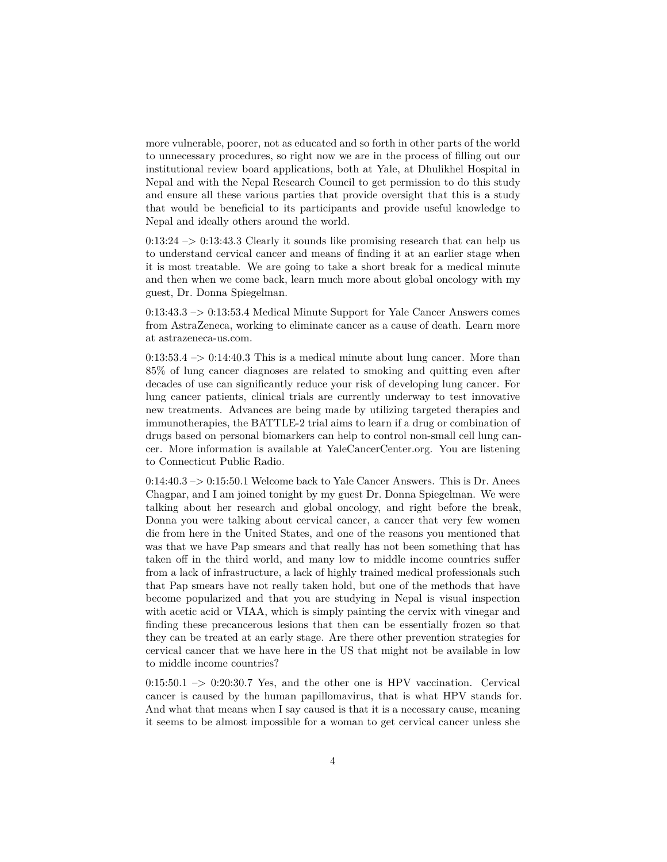more vulnerable, poorer, not as educated and so forth in other parts of the world to unnecessary procedures, so right now we are in the process of filling out our institutional review board applications, both at Yale, at Dhulikhel Hospital in Nepal and with the Nepal Research Council to get permission to do this study and ensure all these various parties that provide oversight that this is a study that would be beneficial to its participants and provide useful knowledge to Nepal and ideally others around the world.

 $0:13:24 \rightarrow 0:13:43.3$  Clearly it sounds like promising research that can help us to understand cervical cancer and means of finding it at an earlier stage when it is most treatable. We are going to take a short break for a medical minute and then when we come back, learn much more about global oncology with my guest, Dr. Donna Spiegelman.

0:13:43.3 –> 0:13:53.4 Medical Minute Support for Yale Cancer Answers comes from AstraZeneca, working to eliminate cancer as a cause of death. Learn more at astrazeneca-us.com.

 $0:13:53.4 \rightarrow 0:14:40.3$  This is a medical minute about lung cancer. More than 85% of lung cancer diagnoses are related to smoking and quitting even after decades of use can significantly reduce your risk of developing lung cancer. For lung cancer patients, clinical trials are currently underway to test innovative new treatments. Advances are being made by utilizing targeted therapies and immunotherapies, the BATTLE-2 trial aims to learn if a drug or combination of drugs based on personal biomarkers can help to control non-small cell lung cancer. More information is available at YaleCancerCenter.org. You are listening to Connecticut Public Radio.

0:14:40.3 –> 0:15:50.1 Welcome back to Yale Cancer Answers. This is Dr. Anees Chagpar, and I am joined tonight by my guest Dr. Donna Spiegelman. We were talking about her research and global oncology, and right before the break, Donna you were talking about cervical cancer, a cancer that very few women die from here in the United States, and one of the reasons you mentioned that was that we have Pap smears and that really has not been something that has taken off in the third world, and many low to middle income countries suffer from a lack of infrastructure, a lack of highly trained medical professionals such that Pap smears have not really taken hold, but one of the methods that have become popularized and that you are studying in Nepal is visual inspection with acetic acid or VIAA, which is simply painting the cervix with vinegar and finding these precancerous lesions that then can be essentially frozen so that they can be treated at an early stage. Are there other prevention strategies for cervical cancer that we have here in the US that might not be available in low to middle income countries?

 $0:15:50.1 \rightarrow 0:20:30.7$  Yes, and the other one is HPV vaccination. Cervical cancer is caused by the human papillomavirus, that is what HPV stands for. And what that means when I say caused is that it is a necessary cause, meaning it seems to be almost impossible for a woman to get cervical cancer unless she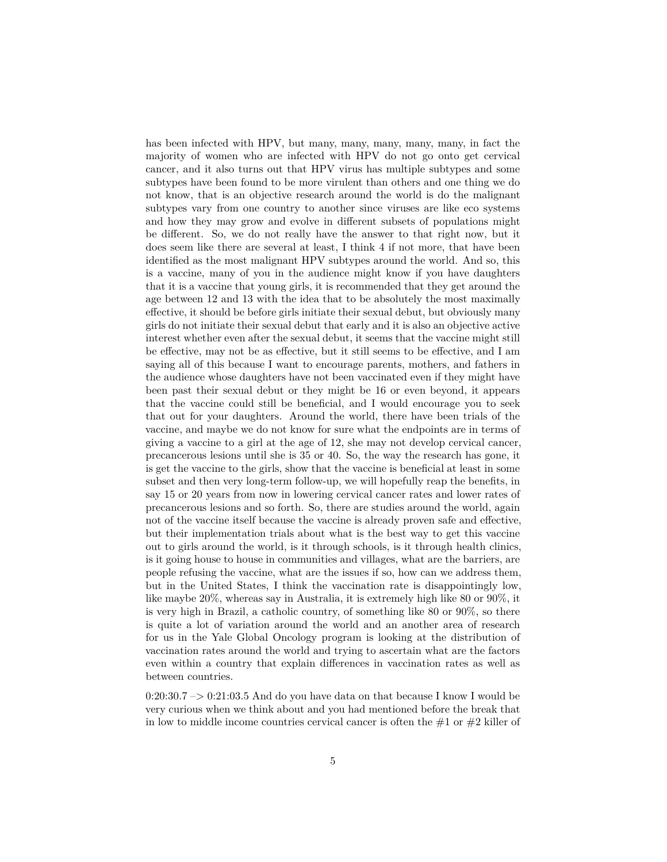has been infected with HPV, but many, many, many, many, many, in fact the majority of women who are infected with HPV do not go onto get cervical cancer, and it also turns out that HPV virus has multiple subtypes and some subtypes have been found to be more virulent than others and one thing we do not know, that is an objective research around the world is do the malignant subtypes vary from one country to another since viruses are like eco systems and how they may grow and evolve in different subsets of populations might be different. So, we do not really have the answer to that right now, but it does seem like there are several at least, I think 4 if not more, that have been identified as the most malignant HPV subtypes around the world. And so, this is a vaccine, many of you in the audience might know if you have daughters that it is a vaccine that young girls, it is recommended that they get around the age between 12 and 13 with the idea that to be absolutely the most maximally effective, it should be before girls initiate their sexual debut, but obviously many girls do not initiate their sexual debut that early and it is also an objective active interest whether even after the sexual debut, it seems that the vaccine might still be effective, may not be as effective, but it still seems to be effective, and I am saying all of this because I want to encourage parents, mothers, and fathers in the audience whose daughters have not been vaccinated even if they might have been past their sexual debut or they might be 16 or even beyond, it appears that the vaccine could still be beneficial, and I would encourage you to seek that out for your daughters. Around the world, there have been trials of the vaccine, and maybe we do not know for sure what the endpoints are in terms of giving a vaccine to a girl at the age of 12, she may not develop cervical cancer, precancerous lesions until she is 35 or 40. So, the way the research has gone, it is get the vaccine to the girls, show that the vaccine is beneficial at least in some subset and then very long-term follow-up, we will hopefully reap the benefits, in say 15 or 20 years from now in lowering cervical cancer rates and lower rates of precancerous lesions and so forth. So, there are studies around the world, again not of the vaccine itself because the vaccine is already proven safe and effective, but their implementation trials about what is the best way to get this vaccine out to girls around the world, is it through schools, is it through health clinics, is it going house to house in communities and villages, what are the barriers, are people refusing the vaccine, what are the issues if so, how can we address them, but in the United States, I think the vaccination rate is disappointingly low, like maybe 20%, whereas say in Australia, it is extremely high like 80 or 90%, it is very high in Brazil, a catholic country, of something like 80 or 90%, so there is quite a lot of variation around the world and an another area of research for us in the Yale Global Oncology program is looking at the distribution of vaccination rates around the world and trying to ascertain what are the factors even within a country that explain differences in vaccination rates as well as between countries.

 $0:20:30.7 \rightarrow 0:21:03.5$  And do you have data on that because I know I would be very curious when we think about and you had mentioned before the break that in low to middle income countries cervical cancer is often the  $#1$  or  $#2$  killer of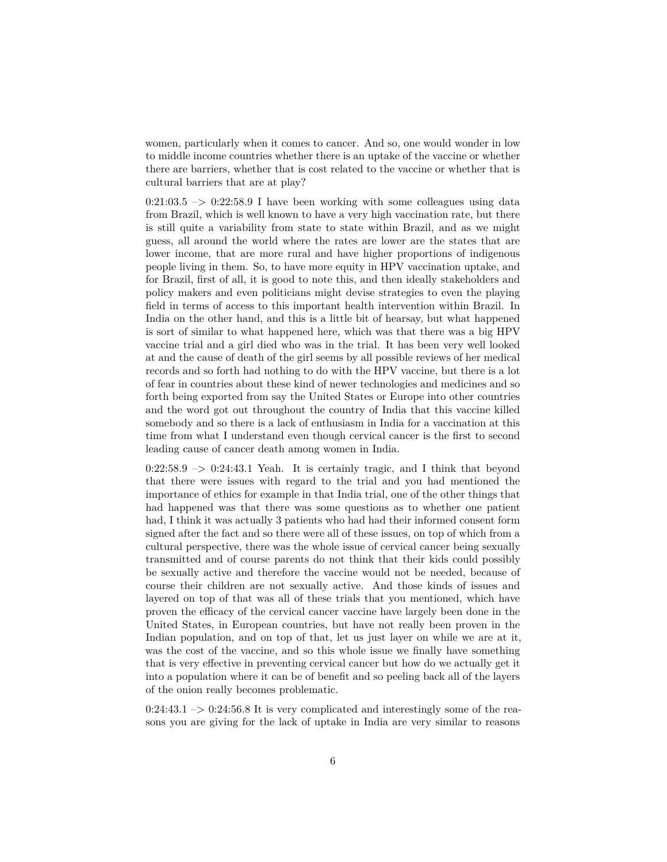women, particularly when it comes to cancer. And so, one would wonder in low to middle income countries whether there is an uptake of the vaccine or whether there are barriers, whether that is cost related to the vaccine or whether that is cultural barriers that are at play?

 $0:21:03.5$  ->  $0:22:58.9$  I have been working with some colleagues using data from Brazil, which is well known to have a very high vaccination rate, but there is still quite a variability from state to state within Brazil, and as we might guess, all around the world where the rates are lower are the states that are lower income, that are more rural and have higher proportions of indigenous people living in them. So, to have more equity in HPV vaccination uptake, and for Brazil, first of all, it is good to note this, and then ideally stakeholders and policy makers and even politicians might devise strategies to even the playing field in terms of access to this important health intervention within Brazil. In India on the other hand, and this is a little bit of hearsay, but what happened is sort of similar to what happened here, which was that there was a big HPV vaccine trial and a girl died who was in the trial. It has been very well looked at and the cause of death of the girl seems by all possible reviews of her medical records and so forth had nothing to do with the HPV vaccine, but there is a lot of fear in countries about these kind of newer technologies and medicines and so forth being exported from say the United States or Europe into other countries and the word got out throughout the country of India that this vaccine killed somebody and so there is a lack of enthusiasm in India for a vaccination at this time from what I understand even though cervical cancer is the first to second leading cause of cancer death among women in India.

 $0:22:58.9 \rightarrow 0:24:43.1$  Yeah. It is certainly tragic, and I think that beyond that there were issues with regard to the trial and you had mentioned the importance of ethics for example in that India trial, one of the other things that had happened was that there was some questions as to whether one patient had, I think it was actually 3 patients who had had their informed consent form signed after the fact and so there were all of these issues, on top of which from a cultural perspective, there was the whole issue of cervical cancer being sexually transmitted and of course parents do not think that their kids could possibly be sexually active and therefore the vaccine would not be needed, because of course their children are not sexually active. And those kinds of issues and layered on top of that was all of these trials that you mentioned, which have proven the efficacy of the cervical cancer vaccine have largely been done in the United States, in European countries, but have not really been proven in the Indian population, and on top of that, let us just layer on while we are at it, was the cost of the vaccine, and so this whole issue we finally have something that is very effective in preventing cervical cancer but how do we actually get it into a population where it can be of benefit and so peeling back all of the layers of the onion really becomes problematic.

 $0:24:43.1 \rightarrow 0:24:56.8$  It is very complicated and interestingly some of the reasons you are giving for the lack of uptake in India are very similar to reasons